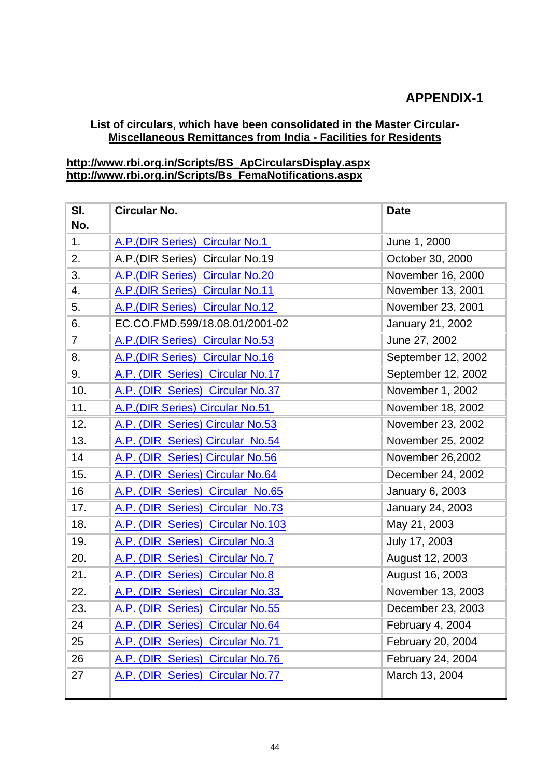## **APPENDIX-1**

## **List of circulars, which have been consolidated in the Master Circular-Miscellaneous Remittances from India - Facilities for Residents**

## **[http://www.rbi.org.in/Scripts/BS\\_ApCircularsDisplay.aspx](https://mail.rbi.org.in/owa/redir.aspx?C=e9a3d68567574a1e9b3b0ef757639be6&URL=http%3a%2f%2fwww.rbi.org.in%2fScripts%2fBS_ApCircularsDisplay.aspx) [http://www.rbi.org.in/Scripts/Bs\\_FemaNotifications.aspx](https://mail.rbi.org.in/owa/redir.aspx?C=e9a3d68567574a1e9b3b0ef757639be6&URL=http%3a%2f%2fwww.rbi.org.in%2fScripts%2fBs_FemaNotifications.aspx)**

| SI.          | <b>Circular No.</b>               | <b>Date</b>             |
|--------------|-----------------------------------|-------------------------|
| No.          |                                   |                         |
| 1.           | A.P. (DIR Series) Circular No.1   | June 1, 2000            |
| 2.           | A.P.(DIR Series) Circular No.19   | October 30, 2000        |
| 3.           | A.P.(DIR Series) Circular No.20   | November 16, 2000       |
| 4.           | A.P. (DIR Series) Circular No.11  | November 13, 2001       |
| 5.           | A.P. (DIR Series) Circular No.12  | November 23, 2001       |
| 6.           | EC.CO.FMD.599/18.08.01/2001-02    | January 21, 2002        |
| $\mathbf{7}$ | A.P. (DIR Series) Circular No.53  | June 27, 2002           |
| 8.           | A.P. (DIR Series) Circular No.16  | September 12, 2002      |
| 9.           | A.P. (DIR Series) Circular No.17  | September 12, 2002      |
| 10.          | A.P. (DIR Series) Circular No.37  | November 1, 2002        |
| 11.          | A.P. (DIR Series) Circular No.51  | November 18, 2002       |
| 12.          | A.P. (DIR Series) Circular No.53  | November 23, 2002       |
| 13.          | A.P. (DIR Series) Circular No.54  | November 25, 2002       |
| 14           | A.P. (DIR Series) Circular No.56  | November 26,2002        |
| 15.          | A.P. (DIR Series) Circular No.64  | December 24, 2002       |
| 16           | A.P. (DIR Series) Circular No.65  | January 6, 2003         |
| 17.          | A.P. (DIR Series) Circular No.73  | <b>January 24, 2003</b> |
| 18.          | A.P. (DIR Series) Circular No.103 | May 21, 2003            |
| 19.          | A.P. (DIR Series) Circular No.3   | July 17, 2003           |
| 20.          | A.P. (DIR Series) Circular No.7   | August 12, 2003         |
| 21.          | A.P. (DIR Series) Circular No.8   | August 16, 2003         |
| 22.          | A.P. (DIR Series) Circular No.33  | November 13, 2003       |
| 23.          | A.P. (DIR Series) Circular No.55  | December 23, 2003       |
| 24           | A.P. (DIR Series) Circular No.64  | February 4, 2004        |
| 25           | A.P. (DIR Series) Circular No.71  | February 20, 2004       |
| 26           | A.P. (DIR Series) Circular No.76  | February 24, 2004       |
| 27           | A.P. (DIR Series) Circular No.77  | March 13, 2004          |
|              |                                   |                         |